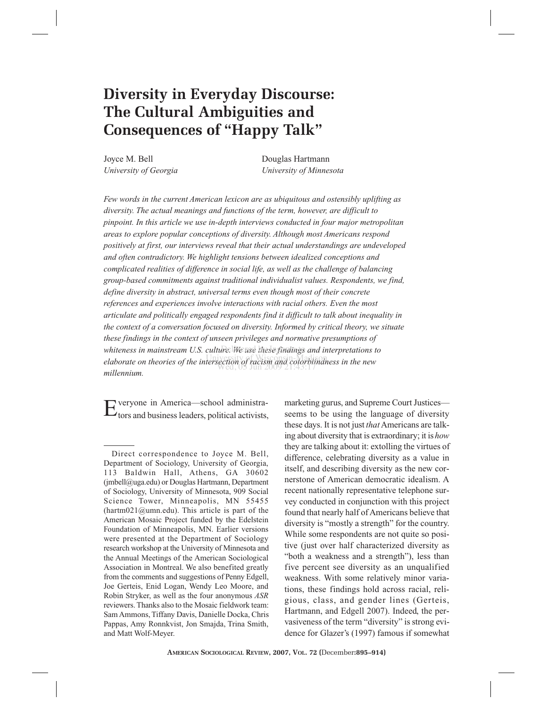# **Diversity in Everyday Discourse: The Cultural Ambiguities and Consequences of "Happy Talk"**

Joyce M. Bell Douglas Hartmann

*University of Georgia University of Minnesota*

*Few words in the current American lexicon are as ubiquitous and ostensibly uplifting as diversity. The actual meanings and functions of the term, however, are difficult to pinpoint. In this article we use in-depth interviews conducted in four major metropolitan areas to explore popular conceptions of diversity. Although most Americans respond positively at first, our interviews reveal that their actual understandings are undeveloped and often contradictory. We highlight tensions between idealized conceptions and complicated realities of difference in social life, as well as the challenge of balancing group-based commitments against traditional individualist values. Respondents, we find, define diversity in abstract, universal terms even though most of their concrete references and experiences involve interactions with racial others. Even the most articulate and politically engaged respondents find it difficult to talk about inequality in the context of a conversation focused on diversity. Informed by critical theory, we situate these findings in the context of unseen privileges and normative presumptions of* whiteness in mainstream U.S. culture. We use these findings and interpretations to elaborate on theories of the intersection of racism and colorblindness in the new *millennium.* Wed, 03 Jun 2009 21:43:17

Everyone in America—school administra-tors and business leaders, political activists,

marketing gurus, and Supreme Court Justices seems to be using the language of diversity these days. It is not just *that*Americans are talking about diversity that is extraordinary; it is *how* they are talking about it: extolling the virtues of difference, celebrating diversity as a value in itself, and describing diversity as the new cornerstone of American democratic idealism. A recent nationally representative telephone survey conducted in conjunction with this project found that nearly half of Americans believe that diversity is "mostly a strength" for the country. While some respondents are not quite so positive (just over half characterized diversity as "both a weakness and a strength"), less than five percent see diversity as an unqualified weakness. With some relatively minor variations, these findings hold across racial, religious, class, and gender lines (Gerteis, Hartmann, and Edgell 2007). Indeed, the pervasiveness of the term "diversity" is strong evidence for Glazer's (1997) famous if somewhat

Direct correspondence to Joyce M. Bell, Department of Sociology, University of Georgia, 113 Baldwin Hall, Athens, GA 30602 (jmbell@uga.edu) or Douglas Hartmann, Department of Sociology, University of Minnesota, 909 Social Science Tower, Minneapolis, MN 55455  $(hartm021@umm.edu)$ . This article is part of the American Mosaic Project funded by the Edelstein Foundation of Minneapolis, MN. Earlier versions were presented at the Department of Sociology research workshop at the University of Minnesota and the Annual Meetings of the American Sociological Association in Montreal. We also benefited greatly from the comments and suggestions of Penny Edgell, Joe Gerteis, Enid Logan, Wendy Leo Moore, and Robin Stryker, as well as the four anonymous *ASR* reviewers. Thanks also to the Mosaic fieldwork team: Sam Ammons, Tiffany Davis, Danielle Docka, Chris Pappas, Amy Ronnkvist, Jon Smajda, Trina Smith, and Matt Wolf-Meyer.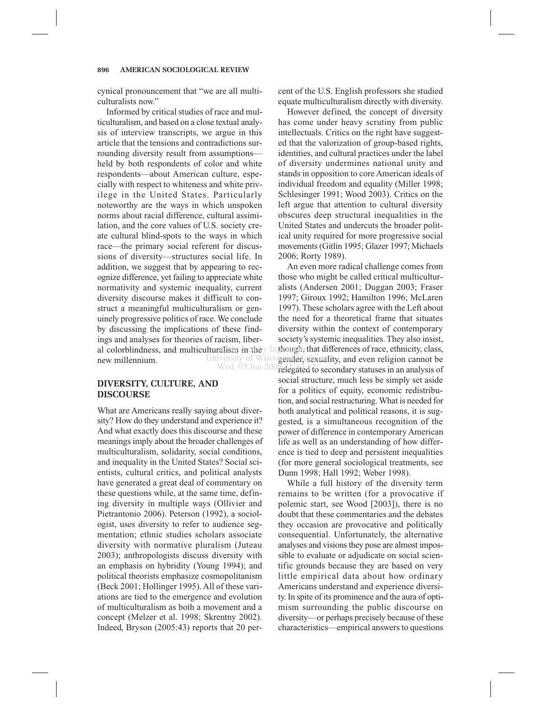cynical pronouncement that "we are all multiculturalists now."

Informed by critical studies of race and multiculturalism, and based on a close textual analysis of interview transcripts, we argue in this article that the tensions and contradictions surrounding diversity result from assumptions held by both respondents of color and white respondents—about American culture, especially with respect to whiteness and white privilege in the United States. Particularly noteworthy are the ways in which unspoken norms about racial difference, cultural assimilation, and the core values of U.S. society create cultural blind-spots to the ways in which race—the primary social referent for discussions of diversity—structures social life. In addition, we suggest that by appearing to recognize difference, yet failing to appreciate white normativity and systemic inequality, current diversity discourse makes it difficult to construct a meaningful multiculturalism or genuinely progressive politics of race. We conclude by discussing the implications of these findings and analyses for theories of racism, liberal colorblindness, and multiculturalism in the  $y$  Inghough, that differences of race, ethnicity, class, new millennium. Wed, 03 Jun 200

### **DIVERSITY, CULTURE, AND DISCOURSE**

What are Americans really saying about diversity? How do they understand and experience it? And what exactly does this discourse and these meanings imply about the broader challenges of multiculturalism, solidarity, social conditions, and inequality in the United States? Social scientists, cultural critics, and political analysts have generated a great deal of commentary on these questions while, at the same time, defining diversity in multiple ways (Ollivier and Pietrantonio 2006). Peterson (1992), a sociologist, uses diversity to refer to audience segmentation; ethnic studies scholars associate diversity with normative pluralism (Juteau 2003); anthropologists discuss diversity with an emphasis on hybridity (Young 1994); and political theorists emphasize cosmopolitanism (Beck 2001; Hollinger 1995). All of these variations are tied to the emergence and evolution of multiculturalism as both a movement and a concept (Melzer et al. 1998; Skrentny 2002). Indeed, Bryson (2005:43) reports that 20 percent of the U.S. English professors she studied equate multiculturalism directly with diversity.

However defined, the concept of diversity has come under heavy scrutiny from public intellectuals. Critics on the right have suggested that the valorization of group-based rights, identities, and cultural practices under the label of diversity undermines national unity and stands in opposition to core American ideals of individual freedom and equality (Miller 1998; Schlesinger 1991; Wood 2003). Critics on the left argue that attention to cultural diversity obscures deep structural inequalities in the United States and undercuts the broader political unity required for more progressive social movements (Gitlin 1995; Glazer 1997; Michaels 2006; Rorty 1989).

An even more radical challenge comes from those who might be called critical multiculturalists (Andersen 2001; Duggan 2003; Fraser 1997; Giroux 1992; Hamilton 1996; McLaren 1997). These scholars agree with the Left about the need for a theoretical frame that situates diversity within the context of contemporary society's systemic inequalities. They also insist, University of Wisconsender, sexuality, and even religion cannot be relegated to secondary statuses in an analysis of social structure, much less be simply set aside for a politics of equity, economic redistribution, and social restructuring. What is needed for both analytical and political reasons, it is suggested, is a simultaneous recognition of the power of difference in contemporary American life as well as an understanding of how difference is tied to deep and persistent inequalities (for more general sociological treatments, see Dunn 1998; Hall 1992; Weber 1998).

> While a full history of the diversity term remains to be written (for a provocative if polemic start, see Wood [2003]), there is no doubt that these commentaries and the debates they occasion are provocative and politically consequential. Unfortunately, the alternative analyses and visions they pose are almost impossible to evaluate or adjudicate on social scientific grounds because they are based on very little empirical data about how ordinary Americans understand and experience diversity. In spite of its prominence and the aura of optimism surrounding the public discourse on diversity—or perhaps precisely because of these characteristics—empirical answers to questions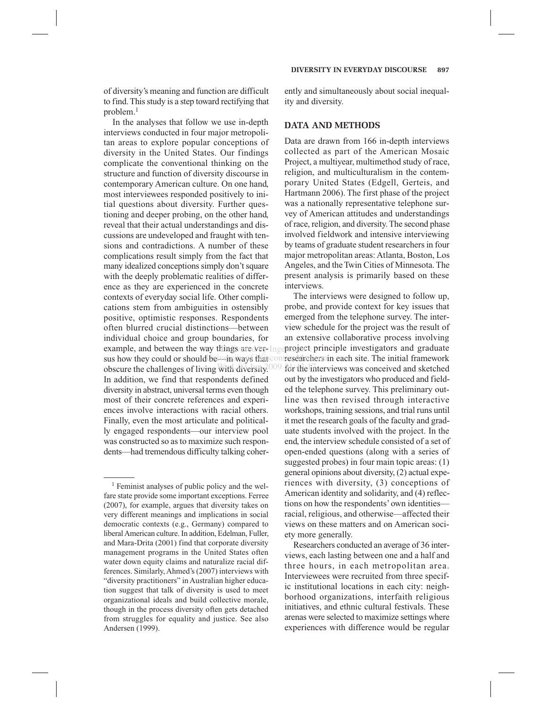of diversity's meaning and function are difficult to find. This study is a step toward rectifying that problem.<sup>1</sup>

In the analyses that follow we use in-depth interviews conducted in four major metropolitan areas to explore popular conceptions of diversity in the United States. Our findings complicate the conventional thinking on the structure and function of diversity discourse in contemporary American culture. On one hand, most interviewees responded positively to initial questions about diversity. Further questioning and deeper probing, on the other hand, reveal that their actual understandings and discussions are undeveloped and fraught with tensions and contradictions. A number of these complications result simply from the fact that many idealized conceptions simply don't square with the deeply problematic realities of difference as they are experienced in the concrete contexts of everyday social life. Other complications stem from ambiguities in ostensibly positive, optimistic responses. Respondents often blurred crucial distinctions—between individual choice and group boundaries, for example, and between the way things are ver-Ingeproject principle investigators and graduate sus how they could or should be usin ways that convesearchers obscure the challenges of living With diversity.<sup>009</sup> for the in In addition, we find that respondents defined diversity in abstract, universal terms even though most of their concrete references and experiences involve interactions with racial others. Finally, even the most articulate and politically engaged respondents—our interview pool was constructed so as to maximize such respondents—had tremendous difficulty talking coher-

ently and simultaneously about social inequality and diversity.

### **DATA AND METHODS**

Data are drawn from 166 in-depth interviews collected as part of the American Mosaic Project, a multiyear, multimethod study of race, religion, and multiculturalism in the contemporary United States (Edgell, Gerteis, and Hartmann 2006). The first phase of the project was a nationally representative telephone survey of American attitudes and understandings of race, religion, and diversity. The second phase involved fieldwork and intensive interviewing by teams of graduate student researchers in four major metropolitan areas: Atlanta, Boston, Los Angeles, and the Twin Cities of Minnesota. The present analysis is primarily based on these interviews.

The interviews were designed to follow up, probe, and provide context for key issues that emerged from the telephone survey. The interview schedule for the project was the result of an extensive collaborative process involving researchers in each site. The initial framework for the interviews was conceived and sketched out by the investigators who produced and fielded the telephone survey. This preliminary outline was then revised through interactive workshops, training sessions, and trial runs until it met the research goals of the faculty and graduate students involved with the project. In the end, the interview schedule consisted of a set of open-ended questions (along with a series of suggested probes) in four main topic areas: (1) general opinions about diversity, (2) actual experiences with diversity, (3) conceptions of American identity and solidarity, and (4) reflections on how the respondents' own identities racial, religious, and otherwise—affected their views on these matters and on American society more generally.

Researchers conducted an average of 36 interviews, each lasting between one and a half and three hours, in each metropolitan area. Interviewees were recruited from three specific institutional locations in each city: neighborhood organizations, interfaith religious initiatives, and ethnic cultural festivals. These arenas were selected to maximize settings where experiences with difference would be regular

<sup>1</sup> Feminist analyses of public policy and the welfare state provide some important exceptions. Ferree (2007), for example, argues that diversity takes on very different meanings and implications in social democratic contexts (e.g., Germany) compared to liberal American culture. In addition, Edelman, Fuller, and Mara-Drita (2001) find that corporate diversity management programs in the United States often water down equity claims and naturalize racial differences. Similarly, Ahmed's (2007) interviews with "diversity practitioners" in Australian higher education suggest that talk of diversity is used to meet organizational ideals and build collective morale, though in the process diversity often gets detached from struggles for equality and justice. See also Andersen (1999).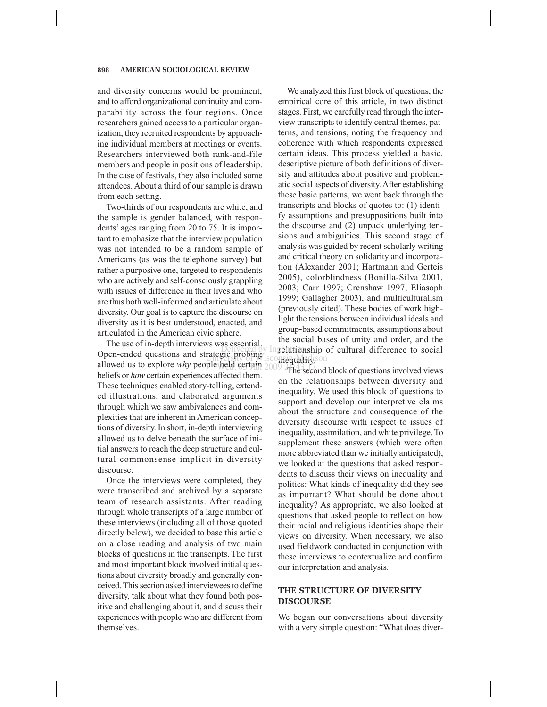and diversity concerns would be prominent, and to afford organizational continuity and comparability across the four regions. Once researchers gained access to a particular organization, they recruited respondents by approaching individual members at meetings or events. Researchers interviewed both rank-and-file members and people in positions of leadership. In the case of festivals, they also included some attendees. About a third of our sample is drawn from each setting.

Two-thirds of our respondents are white, and the sample is gender balanced, with respondents' ages ranging from 20 to 75. It is important to emphasize that the interview population was not intended to be a random sample of Americans (as was the telephone survey) but rather a purposive one, targeted to respondents who are actively and self-consciously grappling with issues of difference in their lives and who are thus both well-informed and articulate about diversity. Our goal is to capture the discourse on diversity as it is best understood, enacted, and articulated in the American civic sphere.

The use of in-depth interviews was essential. Open-ended questions and strategic probing open-ended questions and strategic progrims isconsequality.son<br>allowed us to explore *why* people held certain 2009 and 31 beliefs or *how* certain experiences affected them. These techniques enabled story-telling, extended illustrations, and elaborated arguments through which we saw ambivalences and complexities that are inherent in American conceptions of diversity. In short, in-depth interviewing allowed us to delve beneath the surface of initial answers to reach the deep structure and cultural commonsense implicit in diversity discourse.  $Weld$ , certain  $2009$   $2\frac{17}{10}$   $43$ ;  $17$ 

Once the interviews were completed, they were transcribed and archived by a separate team of research assistants. After reading through whole transcripts of a large number of these interviews (including all of those quoted directly below), we decided to base this article on a close reading and analysis of two main blocks of questions in the transcripts. The first and most important block involved initial questions about diversity broadly and generally conceived. This section asked interviewees to define diversity, talk about what they found both positive and challenging about it, and discuss their experiences with people who are different from themselves.

We analyzed this first block of questions, the empirical core of this article, in two distinct stages. First, we carefully read through the interview transcripts to identify central themes, patterns, and tensions, noting the frequency and coherence with which respondents expressed certain ideas. This process yielded a basic, descriptive picture of both definitions of diversity and attitudes about positive and problematic social aspects of diversity. After establishing these basic patterns, we went back through the transcripts and blocks of quotes to: (1) identify assumptions and presuppositions built into the discourse and (2) unpack underlying tensions and ambiguities. This second stage of analysis was guided by recent scholarly writing and critical theory on solidarity and incorporation (Alexander 2001; Hartmann and Gerteis 2005), colorblindness (Bonilla-Silva 2001, 2003; Carr 1997; Crenshaw 1997; Eliasoph 1999; Gallagher 2003), and multiculturalism (previously cited). These bodies of work highlight the tensions between individual ideals and group-based commitments, assumptions about the social bases of unity and order, and the Ingelationship of cultural difference to social

The second block of questions involved views on the relationships between diversity and inequality. We used this block of questions to support and develop our interpretive claims about the structure and consequence of the diversity discourse with respect to issues of inequality, assimilation, and white privilege. To supplement these answers (which were often more abbreviated than we initially anticipated), we looked at the questions that asked respondents to discuss their views on inequality and politics: What kinds of inequality did they see as important? What should be done about inequality? As appropriate, we also looked at questions that asked people to reflect on how their racial and religious identities shape their views on diversity. When necessary, we also used fieldwork conducted in conjunction with these interviews to contextualize and confirm our interpretation and analysis.

# **THE STRUCTURE OF DIVERSITY DISCOURSE**

We began our conversations about diversity with a very simple question: "What does diver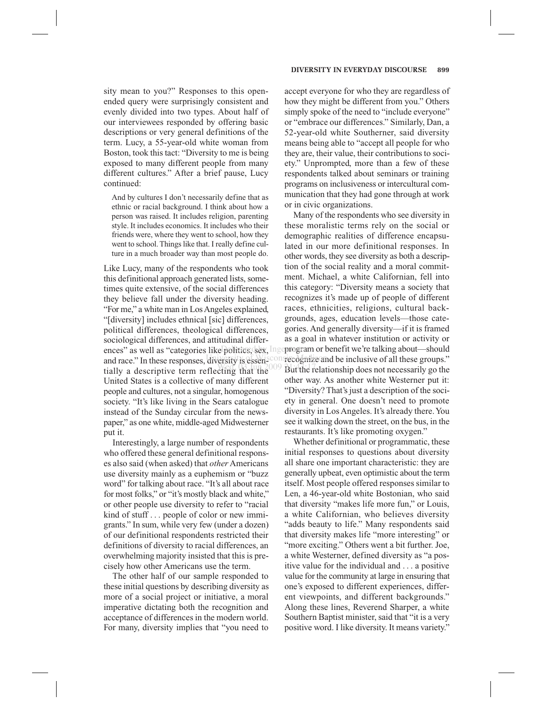sity mean to you?" Responses to this openended query were surprisingly consistent and evenly divided into two types. About half of our interviewees responded by offering basic descriptions or very general definitions of the term. Lucy, a 55-year-old white woman from Boston, took this tact: "Diversity to me is being exposed to many different people from many different cultures." After a brief pause, Lucy continued:

And by cultures I don't necessarily define that as ethnic or racial background. I think about how a person was raised. It includes religion, parenting style. It includes economics. It includes who their friends were, where they went to school, how they went to school. Things like that. I really define culture in a much broader way than most people do.

Like Lucy, many of the respondents who took this definitional approach generated lists, sometimes quite extensive, of the social differences they believe fall under the diversity heading. "For me," a white man in Los Angeles explained, "[diversity] includes ethnical [sic] differences, political differences, theological differences, sociological differences, and attitudinal differences" as well as "categories like politics, sex, Ingeprogram and race." In these responses, diversity is essen-con recognize are tially a descriptive term reflecting that the  $^{12}$  But the re United States is a collective of many different people and cultures, not a singular, homogenous society. "It's like living in the Sears catalogue instead of the Sunday circular from the newspaper," as one white, middle-aged Midwesterner put it.

Interestingly, a large number of respondents who offered these general definitional responses also said (when asked) that *other* Americans use diversity mainly as a euphemism or "buzz word" for talking about race. "It's all about race for most folks," or "it's mostly black and white," or other people use diversity to refer to "racial kind of stuff ... people of color or new immigrants." In sum, while very few (under a dozen) of our definitional respondents restricted their definitions of diversity to racial differences, an overwhelming majority insisted that this is precisely how other Americans use the term.

The other half of our sample responded to these initial questions by describing diversity as more of a social project or initiative, a moral imperative dictating both the recognition and acceptance of differences in the modern world. For many, diversity implies that "you need to accept everyone for who they are regardless of how they might be different from you." Others simply spoke of the need to "include everyone" or "embrace our differences." Similarly, Dan, a 52-year-old white Southerner, said diversity means being able to "accept all people for who they are, their value, their contributions to society." Unprompted, more than a few of these respondents talked about seminars or training programs on inclusiveness or intercultural communication that they had gone through at work or in civic organizations.

Many of the respondents who see diversity in these moralistic terms rely on the social or demographic realities of difference encapsulated in our more definitional responses. In other words, they see diversity as both a description of the social reality and a moral commitment. Michael, a white Californian, fell into this category: "Diversity means a society that recognizes it's made up of people of different races, ethnicities, religions, cultural backgrounds, ages, education levels—those categories. And generally diversity—if it is framed as a goal in whatever institution or activity or program or benefit we're talking about—should recognize and be inclusive of all these groups." But the relationship does not necessarily go the other way. As another white Westerner put it: "Diversity? That's just a description of the society in general. One doesn't need to promote diversity in Los Angeles. It's already there. You see it walking down the street, on the bus, in the restaurants. It's like promoting oxygen."

Whether definitional or programmatic, these initial responses to questions about diversity all share one important characteristic: they are generally upbeat, even optimistic about the term itself. Most people offered responses similar to Len, a 46-year-old white Bostonian, who said that diversity "makes life more fun," or Louis, a white Californian, who believes diversity "adds beauty to life." Many respondents said that diversity makes life "more interesting" or "more exciting." Others went a bit further. Joe, a white Westerner, defined diversity as "a positive value for the individual and ... a positive value for the community at large in ensuring that one's exposed to different experiences, different viewpoints, and different backgrounds." Along these lines, Reverend Sharper, a white Southern Baptist minister, said that "it is a very positive word. I like diversity. It means variety."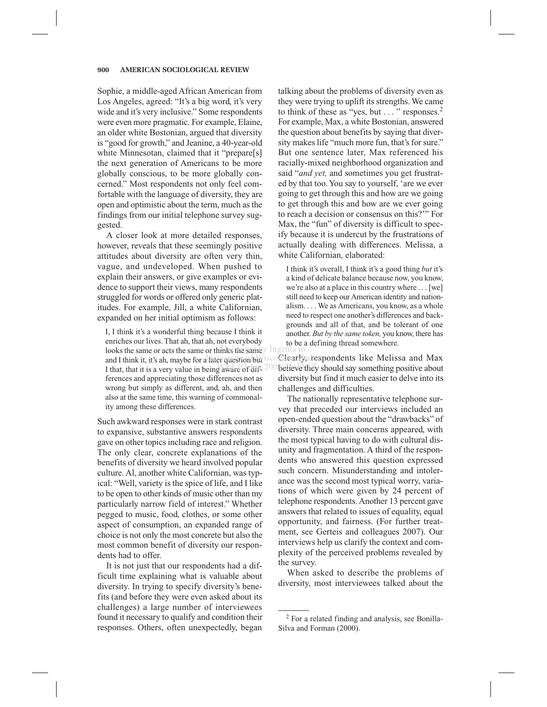Sophie, a middle-aged African American from Los Angeles, agreed: "It's a big word, it's very wide and it's very inclusive." Some respondents were even more pragmatic. For example, Elaine, an older white Bostonian, argued that diversity is "good for growth," and Jeanine, a 40-year-old white Minnesotan, claimed that it "prepare[s] the next generation of Americans to be more globally conscious, to be more globally concerned." Most respondents not only feel comfortable with the language of diversity, they are open and optimistic about the term, much as the findings from our initial telephone survey suggested.

A closer look at more detailed responses, however, reveals that these seemingly positive attitudes about diversity are often very thin, vague, and undeveloped. When pushed to explain their answers, or give examples or evidence to support their views, many respondents struggled for words or offered only generic platitudes. For example, Jill, a white Californian, expanded on her initial optimism as follows:

I, I think it's a wonderful thing because I think it enriches our lives. That ah, that ah, not everybody looks the same or acts the same or thinks the samey Ingenta to : and I think it, it's ah, maybe for a later question but I that, that it is a very value in being aware of dif- $1200$  believe they ferences and appreciating those differences not as wrong but simply as different, and, ah, and then also at the same time, this warning of commonality among these differences.

Such awkward responses were in stark contrast to expansive, substantive answers respondents gave on other topics including race and religion. The only clear, concrete explanations of the benefits of diversity we heard involved popular culture. Al, another white Californian, was typical: "Well, variety is the spice of life, and I like to be open to other kinds of music other than my particularly narrow field of interest." Whether pegged to music, food, clothes, or some other aspect of consumption, an expanded range of choice is not only the most concrete but also the most common benefit of diversity our respondents had to offer.

It is not just that our respondents had a difficult time explaining what is valuable about diversity. In trying to specify diversity's benefits (and before they were even asked about its challenges) a large number of interviewees found it necessary to qualify and condition their responses. Others, often unexpectedly, began talking about the problems of diversity even as they were trying to uplift its strengths. We came to think of these as "yes, but  $\ldots$ " responses.<sup>2</sup> For example, Max, a white Bostonian, answered the question about benefits by saying that diversity makes life "much more fun, that's for sure." But one sentence later, Max referenced his racially-mixed neighborhood organization and said "*and yet,* and sometimes you get frustrated by that too. You say to yourself, 'are we ever going to get through this and how are we going to get through this and how are we ever going to reach a decision or consensus on this?'" For Max, the "fun" of diversity is difficult to specify because it is undercut by the frustrations of actually dealing with differences. Melissa, a white Californian, elaborated:

I think it's overall, I think it's a good thing *but* it's a kind of delicate balance because now, you know, we're also at a place in this country where  $\ldots$  [we] still need to keep our American identity and nationalism... We as Americans, you know, as a whole need to respect one another's differences and backgrounds and all of that, and be tolerant of one another. *But by the same token,* you know, there has to be a defining thread somewhere.

Unter question but is co Clearly, crespondents like Melissa and Max believe they should say something positive about diversity but find it much easier to delve into its challenges and difficulties.

> The nationally representative telephone survey that preceded our interviews included an open-ended question about the "drawbacks" of diversity. Three main concerns appeared, with the most typical having to do with cultural disunity and fragmentation. A third of the respondents who answered this question expressed such concern. Misunderstanding and intolerance was the second most typical worry, variations of which were given by 24 percent of telephone respondents. Another 13 percent gave answers that related to issues of equality, equal opportunity, and fairness. (For further treatment, see Gerteis and colleagues 2007). Our interviews help us clarify the context and complexity of the perceived problems revealed by the survey.

> When asked to describe the problems of diversity, most interviewees talked about the

<sup>2</sup> For a related finding and analysis, see Bonilla-Silva and Forman (2000).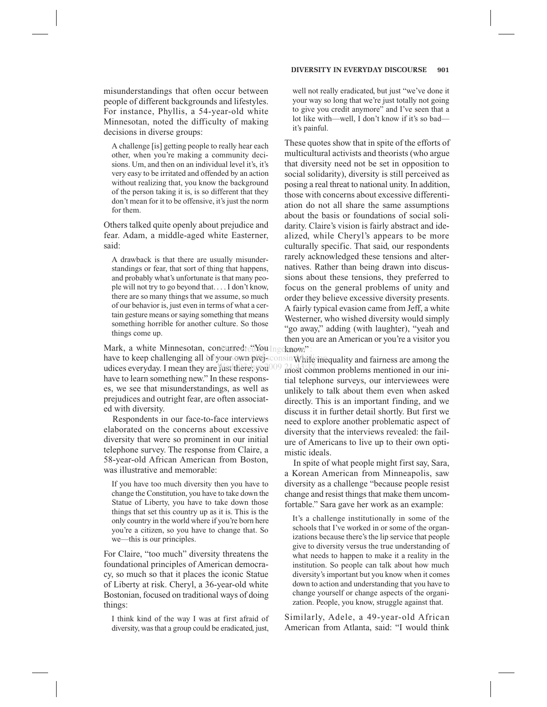misunderstandings that often occur between people of different backgrounds and lifestyles. For instance, Phyllis, a 54-year-old white Minnesotan, noted the difficulty of making decisions in diverse groups:

A challenge [is] getting people to really hear each other, when you're making a community decisions. Um, and then on an individual level it's, it's very easy to be irritated and offended by an action without realizing that, you know the background of the person taking it is, is so different that they don't mean for it to be offensive, it's just the norm for them.

Others talked quite openly about prejudice and fear. Adam, a middle-aged white Easterner, said:

A drawback is that there are usually misunderstandings or fear, that sort of thing that happens, and probably what's unfortunate is that many people will not try to go beyond that... I don't know, there are so many things that we assume, so much of our behavior is, just even in terms of what a certain gesture means or saying something that means something horrible for another culture. So those things come up.

Mark, a white Minnesotan, concurred: "Nou Ingernow.": have to keep challenging all bifyour own prej-sconsin While mequality and fairness are among the udices everyday. I mean they are just there, you<sup>009</sup> most con have to learn something new." In these responses, we see that misunderstandings, as well as prejudices and outright fear, are often associated with diversity.

Respondents in our face-to-face interviews elaborated on the concerns about excessive diversity that were so prominent in our initial telephone survey. The response from Claire, a 58-year-old African American from Boston, was illustrative and memorable:

If you have too much diversity then you have to change the Constitution, you have to take down the Statue of Liberty, you have to take down those things that set this country up as it is. This is the only country in the world where if you're born here you're a citizen, so you have to change that. So we—this is our principles.

For Claire, "too much" diversity threatens the foundational principles of American democracy, so much so that it places the iconic Statue of Liberty at risk. Cheryl, a 36-year-old white Bostonian, focused on traditional ways of doing things:

I think kind of the way I was at first afraid of diversity, was that a group could be eradicated, just,

well not really eradicated, but just "we've done it your way so long that we're just totally not going to give you credit anymore" and I've seen that a lot like with—well, I don't know if it's so bad it's painful.

These quotes show that in spite of the efforts of multicultural activists and theorists (who argue that diversity need not be set in opposition to social solidarity), diversity is still perceived as posing a real threat to national unity. In addition, those with concerns about excessive differentiation do not all share the same assumptions about the basis or foundations of social solidarity. Claire's vision is fairly abstract and idealized, while Cheryl's appears to be more culturally specific. That said, our respondents rarely acknowledged these tensions and alternatives. Rather than being drawn into discussions about these tensions, they preferred to focus on the general problems of unity and order they believe excessive diversity presents. A fairly typical evasion came from Jeff, a white Westerner, who wished diversity would simply "go away," adding (with laughter), "yeah and then you are an American or you're a visitor you

most common problems mentioned in our initial telephone surveys, our interviewees were unlikely to talk about them even when asked directly. This is an important finding, and we discuss it in further detail shortly. But first we need to explore another problematic aspect of diversity that the interviews revealed: the failure of Americans to live up to their own optimistic ideals.

In spite of what people might first say, Sara, a Korean American from Minneapolis, saw diversity as a challenge "because people resist change and resist things that make them uncomfortable." Sara gave her work as an example:

It's a challenge institutionally in some of the schools that I've worked in or some of the organizations because there's the lip service that people give to diversity versus the true understanding of what needs to happen to make it a reality in the institution. So people can talk about how much diversity's important but you know when it comes down to action and understanding that you have to change yourself or change aspects of the organization. People, you know, struggle against that.

Similarly, Adele, a 49-year-old African American from Atlanta, said: "I would think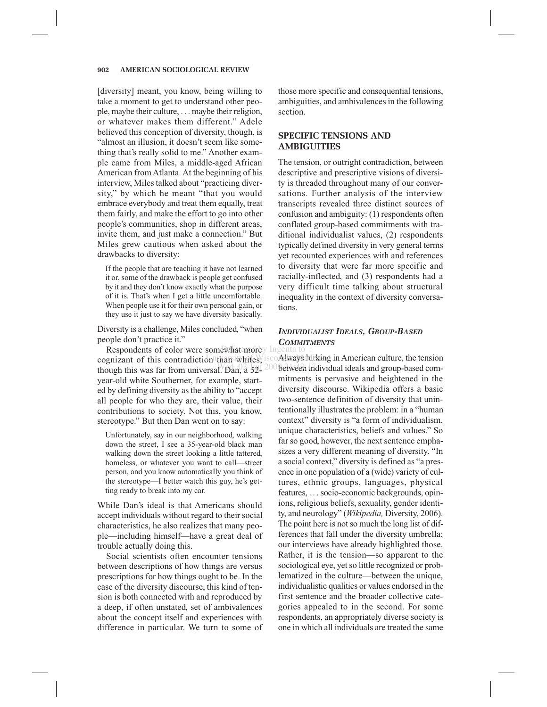[diversity] meant, you know, being willing to take a moment to get to understand other people, maybe their culture, ... maybe their religion, or whatever makes them different." Adele believed this conception of diversity, though, is "almost an illusion, it doesn't seem like something that's really solid to me." Another example came from Miles, a middle-aged African American from Atlanta. At the beginning of his interview, Miles talked about "practicing diversity," by which he meant "that you would embrace everybody and treat them equally, treat them fairly, and make the effort to go into other people's communities, shop in different areas, invite them, and just make a connection." But Miles grew cautious when asked about the drawbacks to diversity:

If the people that are teaching it have not learned it or, some of the drawback is people get confused by it and they don't know exactly what the purpose of it is. That's when I get a little uncomfortable. When people use it for their own personal gain, or they use it just to say we have diversity basically.

Diversity is a challenge, Miles concluded, "when people don't practice it."

Respondents of color were somewhat morey Ingenta to : cognizant of this contradiction than whites, though this was far from universal. Dan, a 52 year-old white Southerner, for example, started by defining diversity as the ability to "accept all people for who they are, their value, their contributions to society. Not this, you know, stereotype." But then Dan went on to say:

Unfortunately, say in our neighborhood, walking down the street, I see a 35-year-old black man walking down the street looking a little tattered, homeless, or whatever you want to call—street person, and you know automatically you think of the stereotype—I better watch this guy, he's getting ready to break into my car.

While Dan's ideal is that Americans should accept individuals without regard to their social characteristics, he also realizes that many people—including himself—have a great deal of trouble actually doing this.

Social scientists often encounter tensions between descriptions of how things are versus prescriptions for how things ought to be. In the case of the diversity discourse, this kind of tension is both connected with and reproduced by a deep, if often unstated, set of ambivalences about the concept itself and experiences with difference in particular. We turn to some of those more specific and consequential tensions, ambiguities, and ambivalences in the following section.

# **SPECIFIC TENSIONS AND AMBIGUITIES**

The tension, or outright contradiction, between descriptive and prescriptive visions of diversity is threaded throughout many of our conversations. Further analysis of the interview transcripts revealed three distinct sources of confusion and ambiguity: (1) respondents often conflated group-based commitments with traditional individualist values, (2) respondents typically defined diversity in very general terms yet recounted experiences with and references to diversity that were far more specific and racially-inflected, and (3) respondents had a very difficult time talking about structural inequality in the context of diversity conversations.

# *INDIVIDUALIST IDEALS, GROUP-BASED COMMITMENTS*

In than whites. Is cordiways lurking in American culture, the tension  $\mu_{\text{Dan}}^{0.3}$   $\frac{1}{2}$   $\frac{200}{9}$  between individual ideals and group-based commitments is pervasive and heightened in the diversity discourse. Wikipedia offers a basic two-sentence definition of diversity that unintentionally illustrates the problem: in a "human context" diversity is "a form of individualism, unique characteristics, beliefs and values." So far so good, however, the next sentence emphasizes a very different meaning of diversity. "In a social context," diversity is defined as "a presence in one population of a (wide) variety of cultures, ethnic groups, languages, physical features, ... socio-economic backgrounds, opinions, religious beliefs, sexuality, gender identity, and neurology" (*Wikipedia,* Diversity, 2006). The point here is not so much the long list of differences that fall under the diversity umbrella; our interviews have already highlighted those. Rather, it is the tension—so apparent to the sociological eye, yet so little recognized or problematized in the culture—between the unique, individualistic qualities or values endorsed in the first sentence and the broader collective categories appealed to in the second. For some respondents, an appropriately diverse society is one in which all individuals are treated the same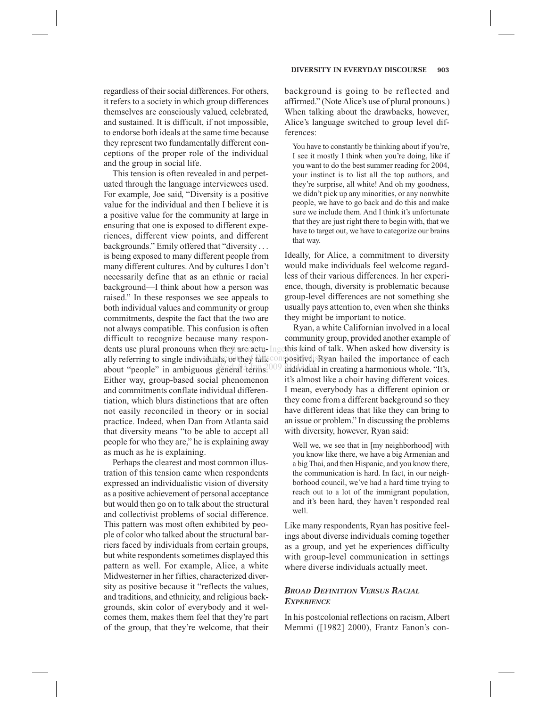regardless of their social differences. For others, it refers to a society in which group differences themselves are consciously valued, celebrated, and sustained. It is difficult, if not impossible, to endorse both ideals at the same time because they represent two fundamentally different conceptions of the proper role of the individual and the group in social life.

This tension is often revealed in and perpetuated through the language interviewees used. For example, Joe said, "Diversity is a positive value for the individual and then I believe it is a positive value for the community at large in ensuring that one is exposed to different experiences, different view points, and different backgrounds." Emily offered that "diversity ... is being exposed to many different people from many different cultures. And by cultures I don't necessarily define that as an ethnic or racial background—I think about how a person was raised." In these responses we see appeals to both individual values and community or group commitments, despite the fact that the two are not always compatible. This confusion is often difficult to recognize because many respondents use plural pronouns when they are actu- Ingethis kind of talk. When asked how diversity is ally referring to single individuals, or they talk conspositive, Ry about "people" in ambiguous general terms.<sup>2009</sup> individua Either way, group-based social phenomenon and commitments conflate individual differentiation, which blurs distinctions that are often not easily reconciled in theory or in social practice. Indeed, when Dan from Atlanta said that diversity means "to be able to accept all people for who they are," he is explaining away as much as he is explaining.

Perhaps the clearest and most common illustration of this tension came when respondents expressed an individualistic vision of diversity as a positive achievement of personal acceptance but would then go on to talk about the structural and collectivist problems of social difference. This pattern was most often exhibited by people of color who talked about the structural barriers faced by individuals from certain groups, but white respondents sometimes displayed this pattern as well. For example, Alice, a white Midwesterner in her fifties, characterized diversity as positive because it "reflects the values, and traditions, and ethnicity, and religious backgrounds, skin color of everybody and it welcomes them, makes them feel that they're part of the group, that they're welcome, that their

background is going to be reflected and affirmed." (Note Alice's use of plural pronouns.) When talking about the drawbacks, however, Alice's language switched to group level differences:

You have to constantly be thinking about if you're, I see it mostly I think when you're doing, like if you want to do the best summer reading for 2004, your instinct is to list all the top authors, and they're surprise, all white! And oh my goodness, we didn't pick up any minorities, or any nonwhite people, we have to go back and do this and make sure we include them. And I think it's unfortunate that they are just right there to begin with, that we have to target out, we have to categorize our brains that way.

Ideally, for Alice, a commitment to diversity would make individuals feel welcome regardless of their various differences. In her experience, though, diversity is problematic because group-level differences are not something she usually pays attention to, even when she thinks they might be important to notice.

Ryan, a white Californian involved in a local community group, provided another example of positive, Ryan hailed the importance of each individual in creating a harmonious whole. "It's, it's almost like a choir having different voices. I mean, everybody has a different opinion or they come from a different background so they have different ideas that like they can bring to an issue or problem." In discussing the problems with diversity, however, Ryan said:

Well we, we see that in [my neighborhood] with you know like there, we have a big Armenian and a big Thai, and then Hispanic, and you know there, the communication is hard. In fact, in our neighborhood council, we've had a hard time trying to reach out to a lot of the immigrant population, and it's been hard, they haven't responded real well.

Like many respondents, Ryan has positive feelings about diverse individuals coming together as a group, and yet he experiences difficulty with group-level communication in settings where diverse individuals actually meet.

# *BROAD DEFINITION VERSUS RACIAL EXPERIENCE*

In his postcolonial reflections on racism, Albert Memmi ([1982] 2000), Frantz Fanon's con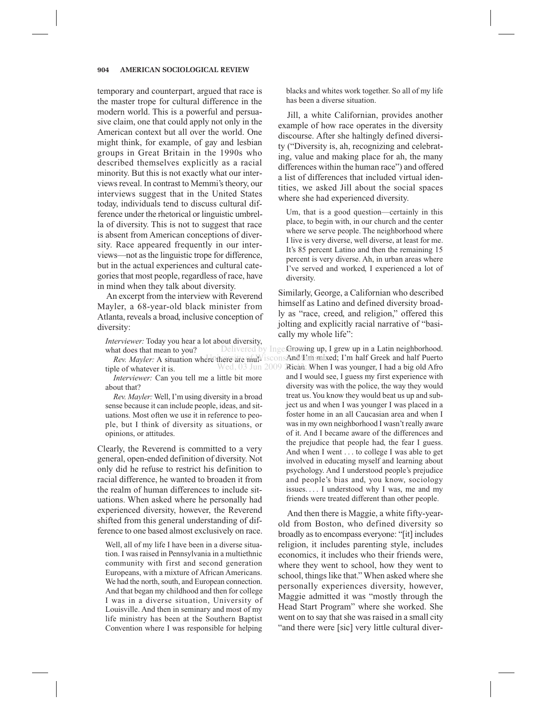temporary and counterpart, argued that race is the master trope for cultural difference in the modern world. This is a powerful and persuasive claim, one that could apply not only in the American context but all over the world. One might think, for example, of gay and lesbian groups in Great Britain in the 1990s who described themselves explicitly as a racial minority. But this is not exactly what our interviews reveal. In contrast to Memmi's theory, our interviews suggest that in the United States today, individuals tend to discuss cultural difference under the rhetorical or linguistic umbrella of diversity. This is not to suggest that race is absent from American conceptions of diversity. Race appeared frequently in our interviews—not as the linguistic trope for difference, but in the actual experiences and cultural categories that most people, regardless of race, have in mind when they talk about diversity.

An excerpt from the interview with Reverend Mayler, a 68-year-old black minister from Atlanta, reveals a broad, inclusive conception of diversity:

*Interviewer:* Today you hear a lot about diversity, what does that mean to you?

tiple of whatever it is.

*Interviewer:* Can you tell me a little bit more about that?

*Rev. Mayler:* Well, I'm using diversity in a broad sense because it can include people, ideas, and situations. Most often we use it in reference to people, but I think of diversity as situations, or opinions, or attitudes.

Clearly, the Reverend is committed to a very general, open-ended definition of diversity. Not only did he refuse to restrict his definition to racial difference, he wanted to broaden it from the realm of human differences to include situations. When asked where he personally had experienced diversity, however, the Reverend shifted from this general understanding of difference to one based almost exclusively on race.

Well, all of my life I have been in a diverse situation. I was raised in Pennsylvania in a multiethnic community with first and second generation Europeans, with a mixture of African Americans. We had the north, south, and European connection. And that began my childhood and then for college I was in a diverse situation, University of Louisville. And then in seminary and most of my life ministry has been at the Southern Baptist Convention where I was responsible for helping

blacks and whites work together. So all of my life has been a diverse situation.

Jill, a white Californian, provides another example of how race operates in the diversity discourse. After she haltingly defined diversity ("Diversity is, ah, recognizing and celebrating, value and making place for ah, the many differences within the human race") and offered a list of differences that included virtual identities, we asked Jill about the social spaces where she had experienced diversity.

Um, that is a good question—certainly in this place, to begin with, in our church and the center where we serve people. The neighborhood where I live is very diverse, well diverse, at least for me. It's 85 percent Latino and then the remaining 15 percent is very diverse. Ah, in urban areas where I've served and worked, I experienced a lot of diversity.

Similarly, George, a Californian who described himself as Latino and defined diversity broadly as "race, creed, and religion," offered this jolting and explicitly racial narrative of "basically my whole life":

Rev. Mayler: A situation where there are mull is consignal limit mixed; I'm half Greek and half Puerto Delivered by IngerGrowing up, I grew up in a Latin neighborhood. Wed, 03 Jun 2009 Rican. When I was younger, I had a big old Afro and I would see, I guess my first experience with diversity was with the police, the way they would treat us. You know they would beat us up and subject us and when I was younger I was placed in a foster home in an all Caucasian area and when I was in my own neighborhood I wasn't really aware of it. And I became aware of the differences and the prejudice that people had, the fear I guess. And when I went ... to college I was able to get involved in educating myself and learning about psychology. And I understood people's prejudice and people's bias and, you know, sociology issues.... I understood why I was, me and my friends were treated different than other people.

> And then there is Maggie, a white fifty-yearold from Boston, who defined diversity so broadly as to encompass everyone: "[it] includes religion, it includes parenting style, includes economics, it includes who their friends were, where they went to school, how they went to school, things like that." When asked where she personally experiences diversity, however, Maggie admitted it was "mostly through the Head Start Program" where she worked. She went on to say that she was raised in a small city "and there were [sic] very little cultural diver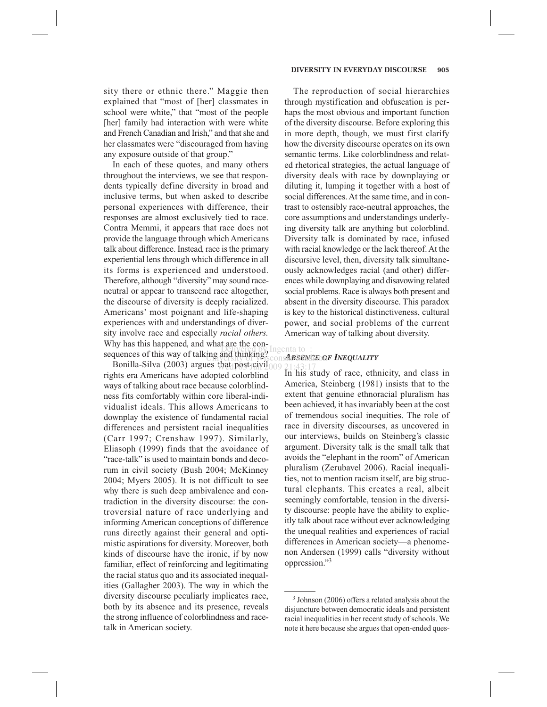sity there or ethnic there." Maggie then explained that "most of [her] classmates in school were white," that "most of the people [her] family had interaction with were white and French Canadian and Irish," and that she and her classmates were "discouraged from having any exposure outside of that group."

In each of these quotes, and many others throughout the interviews, we see that respondents typically define diversity in broad and inclusive terms, but when asked to describe personal experiences with difference, their responses are almost exclusively tied to race. Contra Memmi, it appears that race does not provide the language through which Americans talk about difference. Instead, race is the primary experiential lens through which difference in all its forms is experienced and understood. Therefore, although "diversity" may sound raceneutral or appear to transcend race altogether, the discourse of diversity is deeply racialized. Americans' most poignant and life-shaping experiences with and understandings of diversity involve race and especially *racial others.* Why has this happened, and what are the consequences of this way of talking and thinking?

Bonilla-Silva (2003) argues that post-civil  $009\frac{21:43:17}{5}$ rights era Americans have adopted colorblind ways of talking about race because colorblindness fits comfortably within core liberal-individualist ideals. This allows Americans to downplay the existence of fundamental racial differences and persistent racial inequalities (Carr 1997; Crenshaw 1997). Similarly, Eliasoph (1999) finds that the avoidance of "race-talk" is used to maintain bonds and decorum in civil society (Bush 2004; McKinney 2004; Myers 2005). It is not difficult to see why there is such deep ambivalence and contradiction in the diversity discourse: the controversial nature of race underlying and informing American conceptions of difference runs directly against their general and optimistic aspirations for diversity. Moreover, both kinds of discourse have the ironic, if by now familiar, effect of reinforcing and legitimating the racial status quo and its associated inequalities (Gallagher 2003). The way in which the diversity discourse peculiarly implicates race, both by its absence and its presence, reveals the strong influence of colorblindness and racetalk in American society.

The reproduction of social hierarchies through mystification and obfuscation is perhaps the most obvious and important function of the diversity discourse. Before exploring this in more depth, though, we must first clarify how the diversity discourse operates on its own semantic terms. Like colorblindness and related rhetorical strategies, the actual language of diversity deals with race by downplaying or diluting it, lumping it together with a host of social differences. At the same time, and in contrast to ostensibly race-neutral approaches, the core assumptions and understandings underlying diversity talk are anything but colorblind. Diversity talk is dominated by race, infused with racial knowledge or the lack thereof. At the discursive level, then, diversity talk simultaneously acknowledges racial (and other) differences while downplaying and disavowing related social problems. Race is always both present and absent in the diversity discourse. This paradox is key to the historical distinctiveness, cultural power, and social problems of the current American way of talking about diversity.

# ngenta to

# *ABSENCE OF INEQUALITY*

In his study of race, ethnicity, and class in America, Steinberg (1981) insists that to the extent that genuine ethnoracial pluralism has been achieved, it has invariably been at the cost of tremendous social inequities. The role of race in diversity discourses, as uncovered in our interviews, builds on Steinberg's classic argument. Diversity talk is the small talk that avoids the "elephant in the room" of American pluralism (Zerubavel 2006). Racial inequalities, not to mention racism itself, are big structural elephants. This creates a real, albeit seemingly comfortable, tension in the diversity discourse: people have the ability to explicitly talk about race without ever acknowledging the unequal realities and experiences of racial differences in American society—a phenomenon Andersen (1999) calls "diversity without oppression."3

<sup>3</sup> Johnson (2006) offers a related analysis about the disjuncture between democratic ideals and persistent racial inequalities in her recent study of schools. We note it here because she argues that open-ended ques-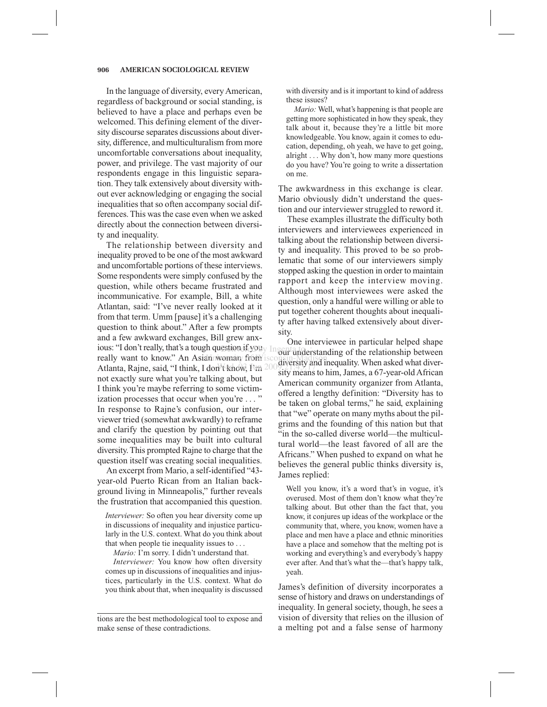In the language of diversity, every American, regardless of background or social standing, is believed to have a place and perhaps even be welcomed. This defining element of the diversity discourse separates discussions about diversity, difference, and multiculturalism from more uncomfortable conversations about inequality, power, and privilege. The vast majority of our respondents engage in this linguistic separation. They talk extensively about diversity without ever acknowledging or engaging the social inequalities that so often accompany social differences. This was the case even when we asked directly about the connection between diversity and inequality.

The relationship between diversity and inequality proved to be one of the most awkward and uncomfortable portions of these interviews. Some respondents were simply confused by the question, while others became frustrated and incommunicative. For example, Bill, a white Atlantan, said: "I've never really looked at it from that term. Umm [pause] it's a challenging question to think about." After a few prompts and a few awkward exchanges, Bill grew anx- $\frac{1}{2}$  one interviewee in particular helped shape<br>ious: "I don't really, that's a tough question if you by Ingenta to actending of the relationship between really want to know." An Asian woman from Atlanta, Rajne, said, "I think, I don't know, I'm  $200\frac{\text{GUT}}{\text{GUT}}$ not exactly sure what you're talking about, but I think you're maybe referring to some victimization processes that occur when you're  $\dots$ " In response to Rajne's confusion, our interviewer tried (somewhat awkwardly) to reframe and clarify the question by pointing out that some inequalities may be built into cultural diversity. This prompted Rajne to charge that the question itself was creating social inequalities. In woman from isconsin-Madison

An excerpt from Mario, a self-identified "43 year-old Puerto Rican from an Italian background living in Minneapolis," further reveals the frustration that accompanied this question.

*Interviewer:* So often you hear diversity come up in discussions of inequality and injustice particularly in the U.S. context. What do you think about that when people tie inequality issues to  $\ldots$ 

*Mario:* I'm sorry. I didn't understand that.

*Interviewer:* You know how often diversity comes up in discussions of inequalities and injustices, particularly in the U.S. context. What do you think about that, when inequality is discussed with diversity and is it important to kind of address these issues?

*Mario:* Well, what's happening is that people are getting more sophisticated in how they speak, they talk about it, because they're a little bit more knowledgeable. You know, again it comes to education, depending, oh yeah, we have to get going, alright ... Why don't, how many more questions do you have? You're going to write a dissertation on me.

The awkwardness in this exchange is clear. Mario obviously didn't understand the question and our interviewer struggled to reword it.

These examples illustrate the difficulty both interviewers and interviewees experienced in talking about the relationship between diversity and inequality. This proved to be so problematic that some of our interviewers simply stopped asking the question in order to maintain rapport and keep the interview moving. Although most interviewees were asked the question, only a handful were willing or able to put together coherent thoughts about inequality after having talked extensively about diversity.

estion if you y Ingent understanding of the relationship between diversity and inequality. When asked what diversity means to him, James, a 67-year-old African American community organizer from Atlanta, offered a lengthy definition: "Diversity has to be taken on global terms," he said, explaining that "we" operate on many myths about the pilgrims and the founding of this nation but that "in the so-called diverse world—the multicultural world—the least favored of all are the Africans." When pushed to expand on what he believes the general public thinks diversity is, James replied:

> Well you know, it's a word that's in vogue, it's overused. Most of them don't know what they're talking about. But other than the fact that, you know, it conjures up ideas of the workplace or the community that, where, you know, women have a place and men have a place and ethnic minorities have a place and somehow that the melting pot is working and everything's and everybody's happy ever after. And that's what the—that's happy talk, yeah.

James's definition of diversity incorporates a sense of history and draws on understandings of inequality. In general society, though, he sees a vision of diversity that relies on the illusion of a melting pot and a false sense of harmony

tions are the best methodological tool to expose and make sense of these contradictions.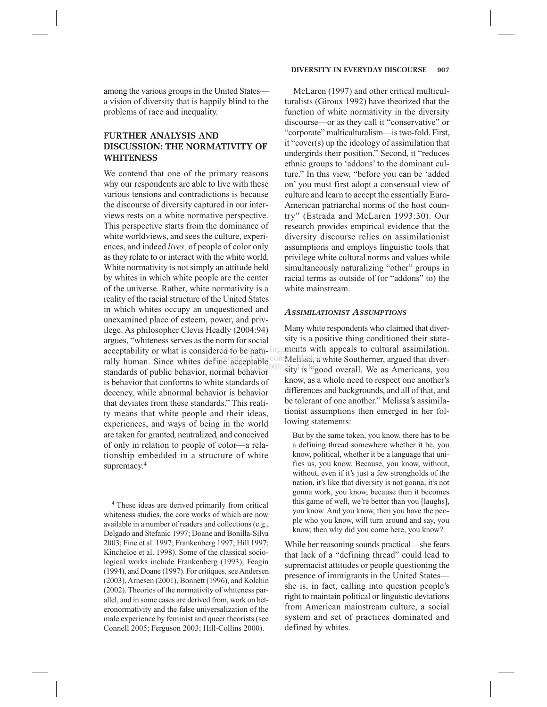among the various groups in the United States a vision of diversity that is happily blind to the problems of race and inequality.

### **FURTHER ANALYSIS AND DISCUSSION: THE NORMATIVITY OF WHITENESS**

We contend that one of the primary reasons why our respondents are able to live with these various tensions and contradictions is because the discourse of diversity captured in our interviews rests on a white normative perspective. This perspective starts from the dominance of white worldviews, and sees the culture, experiences, and indeed *lives,* of people of color only as they relate to or interact with the white world. White normativity is not simply an attitude held by whites in which white people are the center of the universe. Rather, white normativity is a reality of the racial structure of the United States in which whites occupy an unquestioned and unexamined place of esteem, power, and privilege. As philosopher Clevis Headly (2004:94) argues, "whiteness serves as the norm for social acceptability or what is considered to be natu- Ingements with appeals to cultural assimilation. rally human. Since whites define acceptable con Melissa, a w standards of public behavior, normal behavior is behavior that conforms to white standards of decency, while abnormal behavior is behavior that deviates from these standards." This reality means that white people and their ideas, experiences, and ways of being in the world are taken for granted, neutralized, and conceived of only in relation to people of color—a relationship embedded in a structure of white supremacy.<sup>4</sup>

McLaren (1997) and other critical multiculturalists (Giroux 1992) have theorized that the function of white normativity in the diversity discourse—or as they call it "conservative" or "corporate" multiculturalism—is two-fold. First, it "cover(s) up the ideology of assimilation that undergirds their position." Second, it "reduces ethnic groups to 'addons' to the dominant culture." In this view, "before you can be 'added on' you must first adopt a consensual view of culture and learn to accept the essentially Euro-American patriarchal norms of the host country" (Estrada and McLaren 1993:30). Our research provides empirical evidence that the diversity discourse relies on assimilationist assumptions and employs linguistic tools that privilege white cultural norms and values while simultaneously naturalizing "other" groups in racial terms as outside of (or "addons" to) the white mainstream.

### *ASSIMILATIONIST ASSUMPTIONS*

Many white respondents who claimed that diversity is a positive thing conditioned their state-Melissa, a white Southerner, argued that diver $sity$ <sup>is  $\frac{1}{4}$  good overall. We as Americans, you</sup> know, as a whole need to respect one another's differences and backgrounds, and all of that, and be tolerant of one another." Melissa's assimilationist assumptions then emerged in her following statements:

But by the same token, you know, there has to be a defining thread somewhere whether it be, you know, political, whether it be a language that unifies us, you know. Because, you know, without, without, even if it's just a few strongholds of the nation, it's like that diversity is not gonna, it's not gonna work, you know, because then it becomes this game of well, we're better than you [laughs], you know. And you know, then you have the people who you know, will turn around and say, you know, then why did you come here, you know?

While her reasoning sounds practical—she fears that lack of a "defining thread" could lead to supremacist attitudes or people questioning the presence of immigrants in the United States she is, in fact, calling into question people's right to maintain political or linguistic deviations from American mainstream culture, a social system and set of practices dominated and defined by whites.

<sup>4</sup> These ideas are derived primarily from critical whiteness studies, the core works of which are now available in a number of readers and collections (e.g., Delgado and Stefanic 1997; Doane and Bonilla-Silva 2003; Fine et al. 1997; Frankenberg 1997; Hill 1997; Kincheloe et al. 1998). Some of the classical sociological works include Frankenberg (1993), Feagin (1994), and Doane (1997). For critiques, see Andersen (2003), Arnesen (2001), Bonnett (1996), and Kolchin (2002). Theories of the normativity of whiteness parallel, and in some cases are derived from, work on heteronormativity and the false universalization of the male experience by feminist and queer theorists (see Connell 2005; Ferguson 2003; Hill-Collins 2000).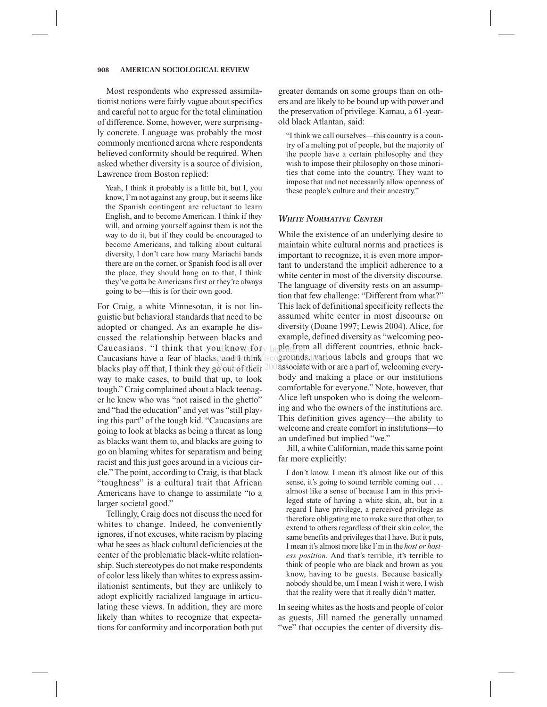Most respondents who expressed assimilationist notions were fairly vague about specifics and careful not to argue for the total elimination of difference. Some, however, were surprisingly concrete. Language was probably the most commonly mentioned arena where respondents believed conformity should be required. When asked whether diversity is a source of division, Lawrence from Boston replied:

Yeah, I think it probably is a little bit, but I, you know, I'm not against any group, but it seems like the Spanish contingent are reluctant to learn English, and to become American. I think if they will, and arming yourself against them is not the way to do it, but if they could be encouraged to become Americans, and talking about cultural diversity, I don't care how many Mariachi bands there are on the corner, or Spanish food is all over the place, they should hang on to that, I think they've gotta be Americans first or they're always going to be—this is for their own good.

For Craig, a white Minnesotan, it is not linguistic but behavioral standards that need to be adopted or changed. As an example he discussed the relationship between blacks and Caucasians. "I think that you lenow for  $\ln \rho$  let from all different countries, ethnic back-Caucasians have a fear of blacks, and I think is cogrounds, ivarious labels and groups that we blacks play off that, I think they go out of their 200 associate w way to make cases, to build that up, to look tough." Craig complained about a black teenager he knew who was "not raised in the ghetto" and "had the education" and yet was "still playing this part" of the tough kid. "Caucasians are going to look at blacks as being a threat as long as blacks want them to, and blacks are going to go on blaming whites for separatism and being racist and this just goes around in a vicious circle." The point, according to Craig, is that black "toughness" is a cultural trait that African Americans have to change to assimilate "to a larger societal good."

Tellingly, Craig does not discuss the need for whites to change. Indeed, he conveniently ignores, if not excuses, white racism by placing what he sees as black cultural deficiencies at the center of the problematic black-white relationship. Such stereotypes do not make respondents of color less likely than whites to express assimilationist sentiments, but they are unlikely to adopt explicitly racialized language in articulating these views. In addition, they are more likely than whites to recognize that expectations for conformity and incorporation both put

greater demands on some groups than on others and are likely to be bound up with power and the preservation of privilege. Kamau, a 61-yearold black Atlantan, said:

"I think we call ourselves—this country is a country of a melting pot of people, but the majority of the people have a certain philosophy and they wish to impose their philosophy on those minorities that come into the country. They want to impose that and not necessarily allow openness of these people's culture and their ancestry."

#### *WHITE NORMATIVE CENTER*

While the existence of an underlying desire to maintain white cultural norms and practices is important to recognize, it is even more important to understand the implicit adherence to a white center in most of the diversity discourse. The language of diversity rests on an assumption that few challenge: "Different from what?" This lack of definitional specificity reflects the assumed white center in most discourse on diversity (Doane 1997; Lewis 2004). Alice, for example, defined diversity as "welcoming peoassociate with or are a part of, welcoming everybody and making a place or our institutions comfortable for everyone." Note, however, that Alice left unspoken who is doing the welcoming and who the owners of the institutions are. This definition gives agency—the ability to welcome and create comfort in institutions—to an undefined but implied "we."

Jill, a white Californian, made this same point far more explicitly:

I don't know. I mean it's almost like out of this sense, it's going to sound terrible coming out ... almost like a sense of because I am in this privileged state of having a white skin, ah, but in a regard I have privilege, a perceived privilege as therefore obligating me to make sure that other, to extend to others regardless of their skin color, the same benefits and privileges that I have. But it puts, I mean it's almost more like I'm in the *host or hostess position.* And that's terrible, it's terrible to think of people who are black and brown as you know, having to be guests. Because basically nobody should be, um I mean I wish it were, I wish that the reality were that it really didn't matter.

In seeing whites as the hosts and people of color as guests, Jill named the generally unnamed "we" that occupies the center of diversity dis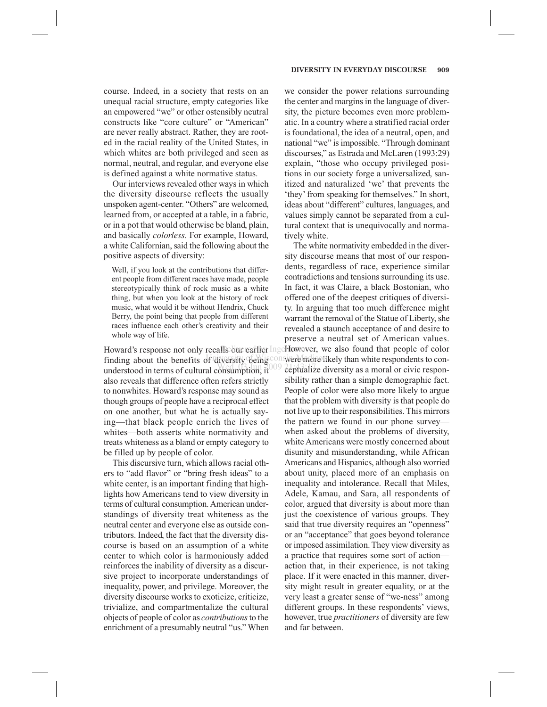course. Indeed, in a society that rests on an unequal racial structure, empty categories like an empowered "we" or other ostensibly neutral constructs like "core culture" or "American" are never really abstract. Rather, they are rooted in the racial reality of the United States, in which whites are both privileged and seen as normal, neutral, and regular, and everyone else is defined against a white normative status.

Our interviews revealed other ways in which the diversity discourse reflects the usually unspoken agent-center. "Others" are welcomed, learned from, or accepted at a table, in a fabric, or in a pot that would otherwise be bland, plain, and basically *colorless.* For example, Howard, a white Californian, said the following about the positive aspects of diversity:

Well, if you look at the contributions that different people from different races have made, people stereotypically think of rock music as a white thing, but when you look at the history of rock music, what would it be without Hendrix, Chuck Berry, the point being that people from different races influence each other's creativity and their whole way of life.

finding about the benefits of diversity being conswere more li understood in terms of cultural consumption, it<sup>009</sup> deptualiz also reveals that difference often refers strictly to nonwhites. Howard's response may sound as though groups of people have a reciprocal effect on one another, but what he is actually saying—that black people enrich the lives of whites—both asserts white normativity and treats whiteness as a bland or empty category to be filled up by people of color.

This discursive turn, which allows racial others to "add flavor" or "bring fresh ideas" to a white center, is an important finding that highlights how Americans tend to view diversity in terms of cultural consumption. American understandings of diversity treat whiteness as the neutral center and everyone else as outside contributors. Indeed, the fact that the diversity discourse is based on an assumption of a white center to which color is harmoniously added reinforces the inability of diversity as a discursive project to incorporate understandings of inequality, power, and privilege. Moreover, the diversity discourse works to exoticize, criticize, trivialize, and compartmentalize the cultural objects of people of color as *contributions*to the enrichment of a presumably neutral "us." When

we consider the power relations surrounding the center and margins in the language of diversity, the picture becomes even more problematic. In a country where a stratified racial order is foundational, the idea of a neutral, open, and national "we" is impossible. "Through dominant discourses," as Estrada and McLaren (1993:29) explain, "those who occupy privileged positions in our society forge a universalized, sanitized and naturalized 'we' that prevents the 'they' from speaking for themselves." In short, ideas about "different" cultures, languages, and values simply cannot be separated from a cultural context that is unequivocally and normatively white.

Howard's response not only recalls bur earlier IngeHowever, we also found that people of color The white normativity embedded in the diversity discourse means that most of our respondents, regardless of race, experience similar contradictions and tensions surrounding its use. In fact, it was Claire, a black Bostonian, who offered one of the deepest critiques of diversity. In arguing that too much difference might warrant the removal of the Statue of Liberty, she revealed a staunch acceptance of and desire to preserve a neutral set of American values. were more likely than white respondents to conceptualize diversity as a moral or civic responsibility rather than a simple demographic fact. People of color were also more likely to argue that the problem with diversity is that people do not live up to their responsibilities. This mirrors the pattern we found in our phone survey when asked about the problems of diversity, white Americans were mostly concerned about disunity and misunderstanding, while African Americans and Hispanics, although also worried about unity, placed more of an emphasis on inequality and intolerance. Recall that Miles, Adele, Kamau, and Sara, all respondents of color, argued that diversity is about more than just the coexistence of various groups. They said that true diversity requires an "openness" or an "acceptance" that goes beyond tolerance or imposed assimilation. They view diversity as a practice that requires some sort of action action that, in their experience, is not taking place. If it were enacted in this manner, diversity might result in greater equality, or at the very least a greater sense of "we-ness" among different groups. In these respondents' views, however, true *practitioners* of diversity are few and far between.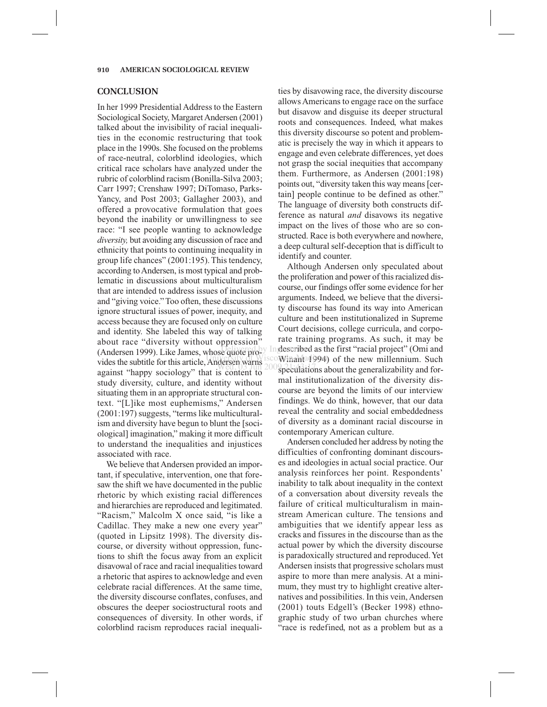### **CONCLUSION**

In her 1999 Presidential Address to the Eastern Sociological Society, Margaret Andersen (2001) talked about the invisibility of racial inequalities in the economic restructuring that took place in the 1990s. She focused on the problems of race-neutral, colorblind ideologies, which critical race scholars have analyzed under the rubric of colorblind racism (Bonilla-Silva 2003; Carr 1997; Crenshaw 1997; DiTomaso, Parks-Yancy, and Post 2003; Gallagher 2003), and offered a provocative formulation that goes beyond the inability or unwillingness to see race: "I see people wanting to acknowledge *diversity,* but avoiding any discussion of race and ethnicity that points to continuing inequality in group life chances" (2001:195). This tendency, according to Andersen, is most typical and problematic in discussions about multiculturalism that are intended to address issues of inclusion and "giving voice." Too often, these discussions ignore structural issues of power, inequity, and access because they are focused only on culture and identity. She labeled this way of talking about race "diversity without oppression" (Andersen 1999). Like James, whose quote provides the subtitle for this article, Andersen warns against "happy sociology" that is content to study diversity, culture, and identity without situating them in an appropriate structural context. "[L]ike most euphemisms," Andersen (2001:197) suggests, "terms like multiculturalism and diversity have begun to blunt the [sociological] imagination," making it more difficult to understand the inequalities and injustices associated with race.

We believe that Andersen provided an important, if speculative, intervention, one that foresaw the shift we have documented in the public rhetoric by which existing racial differences and hierarchies are reproduced and legitimated. "Racism," Malcolm X once said, "is like a Cadillac. They make a new one every year" (quoted in Lipsitz 1998). The diversity discourse, or diversity without oppression, functions to shift the focus away from an explicit disavowal of race and racial inequalities toward a rhetoric that aspires to acknowledge and even celebrate racial differences. At the same time, the diversity discourse conflates, confuses, and obscures the deeper sociostructural roots and consequences of diversity. In other words, if colorblind racism reproduces racial inequalities by disavowing race, the diversity discourse allows Americans to engage race on the surface but disavow and disguise its deeper structural roots and consequences. Indeed, what makes this diversity discourse so potent and problematic is precisely the way in which it appears to engage and even celebrate differences, yet does not grasp the social inequities that accompany them. Furthermore, as Andersen (2001:198) points out, "diversity taken this way means [certain] people continue to be defined as other." The language of diversity both constructs difference as natural *and* disavows its negative impact on the lives of those who are so constructed. Race is both everywhere and nowhere, a deep cultural self-deception that is difficult to identify and counter.

Although Andersen only speculated about the proliferation and power of this racialized discourse, our findings offer some evidence for her arguments. Indeed, we believe that the diversity discourse has found its way into American culture and been institutionalized in Supreme Court decisions, college curricula, and corporate training programs. As such, it may be  $\mathcal{D}_{\text{cluster}}$  by Inglestribed as the first "racial project" (Omi and Andersen warns cowinant 1994) of the new millennium. Such wed, by the 2009 21:43:17<br>Secondent to speculations about the generalizability and formal institutionalization of the diversity discourse are beyond the limits of our interview findings. We do think, however, that our data reveal the centrality and social embeddedness of diversity as a dominant racial discourse in contemporary American culture.

> Andersen concluded her address by noting the difficulties of confronting dominant discourses and ideologies in actual social practice. Our analysis reinforces her point. Respondents' inability to talk about inequality in the context of a conversation about diversity reveals the failure of critical multiculturalism in mainstream American culture. The tensions and ambiguities that we identify appear less as cracks and fissures in the discourse than as the actual power by which the diversity discourse is paradoxically structured and reproduced. Yet Andersen insists that progressive scholars must aspire to more than mere analysis. At a minimum, they must try to highlight creative alternatives and possibilities. In this vein, Andersen (2001) touts Edgell's (Becker 1998) ethnographic study of two urban churches where "race is redefined, not as a problem but as a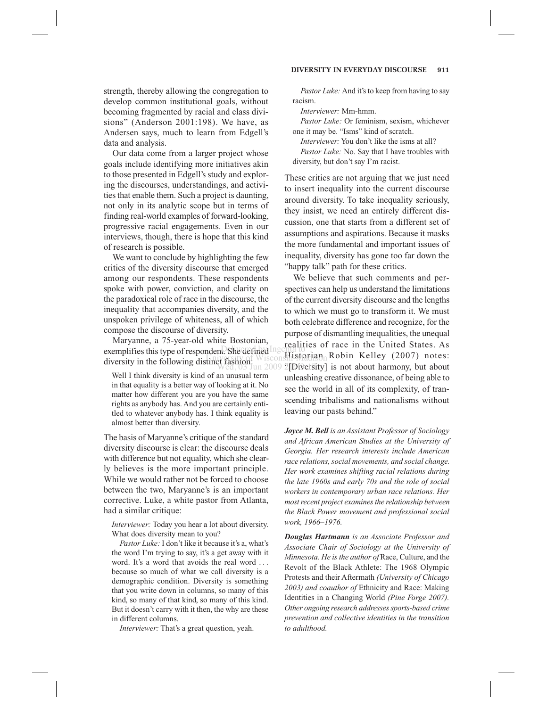strength, thereby allowing the congregation to develop common institutional goals, without becoming fragmented by racial and class divisions" (Anderson 2001:198). We have, as Andersen says, much to learn from Edgell's data and analysis.

Our data come from a larger project whose goals include identifying more initiatives akin to those presented in Edgell's study and exploring the discourses, understandings, and activities that enable them. Such a project is daunting, not only in its analytic scope but in terms of finding real-world examples of forward-looking, progressive racial engagements. Even in our interviews, though, there is hope that this kind of research is possible.

We want to conclude by highlighting the few critics of the diversity discourse that emerged among our respondents. These respondents spoke with power, conviction, and clarity on the paradoxical role of race in the discourse, the inequality that accompanies diversity, and the unspoken privilege of whiteness, all of which compose the discourse of diversity.

Maryanne, a 75-year-old white Bostonian, exemplifies this type of respondent. She defined  $\log_{11}$  to  $\frac{1}{2}$ diversity in the following distinct fashion. 2000 SIDGA-Wisconsing

Well I think diversity is kind of an unusual term in that equality is a better way of looking at it. No matter how different you are you have the same rights as anybody has. And you are certainly entitled to whatever anybody has. I think equality is almost better than diversity.

The basis of Maryanne's critique of the standard diversity discourse is clear: the discourse deals with difference but not equality, which she clearly believes is the more important principle. While we would rather not be forced to choose between the two, Maryanne's is an important corrective. Luke, a white pastor from Atlanta, had a similar critique:

*Interviewer:* Today you hear a lot about diversity. What does diversity mean to you?

*Pastor Luke:* I don't like it because it's a, what's the word I'm trying to say, it's a get away with it word. It's a word that avoids the real word ... because so much of what we call diversity is a demographic condition. Diversity is something that you write down in columns, so many of this kind, so many of that kind, so many of this kind. But it doesn't carry with it then, the why are these in different columns.

*Interviewer:* That's a great question, yeah.

*Pastor Luke:* And it's to keep from having to say racism.

*Interviewer:* Mm-hmm.

*Pastor Luke:* Or feminism, sexism, whichever one it may be. "Isms" kind of scratch.

*Interviewer:* You don't like the isms at all?

*Pastor Luke:* No. Say that I have troubles with diversity, but don't say I'm racist.

These critics are not arguing that we just need to insert inequality into the current discourse around diversity. To take inequality seriously, they insist, we need an entirely different discussion, one that starts from a different set of assumptions and aspirations. Because it masks the more fundamental and important issues of inequality, diversity has gone too far down the "happy talk" path for these critics.

We believe that such comments and perspectives can help us understand the limitations of the current diversity discourse and the lengths to which we must go to transform it. We must both celebrate difference and recognize, for the purpose of dismantling inequalities, the unequal realities of race in the United States. As Historian Robin Kelley (2007) notes: Wed, 03 Jun 2009 2<sup>[</sup>[Diversity] is not about harmony, but about unleashing creative dissonance, of being able to see the world in all of its complexity, of transcending tribalisms and nationalisms without leaving our pasts behind."

> *Joyce M. Bell is an Assistant Professor of Sociology and African American Studies at the University of Georgia. Her research interests include American race relations, social movements, and social change. Her work examines shifting racial relations during the late 1960s and early 70s and the role of social workers in contemporary urban race relations. Her most recent project examines the relationship between the Black Power movement and professional social work, 1966–1976.*

> *Douglas Hartmann is an Associate Professor and Associate Chair of Sociology at the University of Minnesota. He is the author of* Race, Culture, and the Revolt of the Black Athlete: The 1968 Olympic Protests and their Aftermath *(University of Chicago 2003) and coauthor of* Ethnicity and Race: Making Identities in a Changing World *(Pine Forge 2007). Other ongoing research addresses sports-based crime prevention and collective identities in the transition to adulthood.*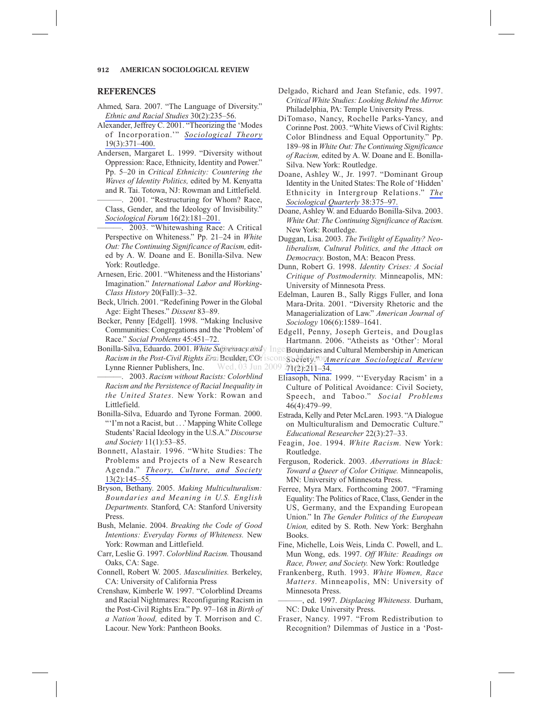#### **REFERENCES**

- Ahmed, Sara. 2007. "The Language of Diversity." *[Ethnic and Racial Studies](http://www.ingentaconnect.com/content/external-references?article=0141-9870()30:2L.235%5Baid=8045381%5D)* 30(2):235–56.
- Alexander, Jeffrey C. 2001. "Theorizing the 'Modes of Incorporation.'" *[Sociological Theory](http://www.ingentaconnect.com/content/external-references?article=0735-2751()19:3L.371%5Baid=8045380%5D)* [19\(3\):371–400.](http://www.ingentaconnect.com/content/external-references?article=0735-2751()19:3L.371%5Baid=8045380%5D)
- Andersen, Margaret L. 1999. "Diversity without Oppression: Race, Ethnicity, Identity and Power." Pp. 5–20 in *Critical Ethnicity: Countering the Waves of Identity Politics,* edited by M. Kenyatta and R. Tai. Totowa, NJ: Rowman and Littlefield.
	- ———. 2001. "Restructuring for Whom? Race, Class, Gender, and the Ideology of Invisibility." *[Sociological Forum](http://www.ingentaconnect.com/content/external-references?article=0884-8971()16:2L.181%5Baid=8045379%5D)* 16(2):181–201.
	- ———. 2003. "Whitewashing Race: A Critical Perspective on Whiteness." Pp. 21–24 in *White Out: The Continuing Significance of Racism,* edited by A. W. Doane and E. Bonilla-Silva. New York: Routledge.
- Arnesen, Eric. 2001. "Whiteness and the Historians' Imagination." *International Labor and Working-Class History* 20(Fall):3–32.
- Beck, Ulrich. 2001. "Redefining Power in the Global Age: Eight Theses." *Dissent* 83–89.
- Becker, Penny [Edgell]. 1998. "Making Inclusive Communities: Congregations and the 'Problem'of Race." *[Social Problems](http://www.ingentaconnect.com/content/external-references?article=0037-7791()45L.451%5Baid=7290045%5D)* 45:451–72.
- Bonilla-Silva, Eduardo. 2001. *White Supremacy and* y Inge Boundaries and Cultural Membership in American Lynne Rienner Publishers, Inc. ———. 2003. *Racism without Racists: Colorblind* Wed, 03 Jun 2009 21(2):211-34.

*Racism and the Persistence of Racial Inequality in the United States.* New York: Rowan and Littlefield.

- Bonilla-Silva, Eduardo and Tyrone Forman. 2000. "'I'm not a Racist, but ...' Mapping White College Students'Racial Ideology in the U.S.A." *Discourse and Society* 11(1):53–85.
- Bonnett, Alastair. 1996. "White Studies: The Problems and Projects of a New Research Agenda." *[Theory, Culture, and Society](http://www.ingentaconnect.com/content/external-references?article=0263-2764()13:2L.145%5Baid=7611619%5D)* [13\(2\):145–55.](http://www.ingentaconnect.com/content/external-references?article=0263-2764()13:2L.145%5Baid=7611619%5D)
- Bryson, Bethany. 2005. *Making Multiculturalism: Boundaries and Meaning in U.S. English Departments.* Stanford, CA: Stanford University Press.
- Bush, Melanie. 2004. *Breaking the Code of Good Intentions: Everyday Forms of Whiteness.* New York: Rowman and Littlefield.
- Carr, Leslie G. 1997. *Colorblind Racism.* Thousand Oaks, CA: Sage.
- Connell, Robert W. 2005. *Masculinities.* Berkeley, CA: University of California Press
- Crenshaw, Kimberle W. 1997. "Colorblind Dreams and Racial Nightmares: Reconfiguring Racism in the Post-Civil Rights Era." Pp. 97–168 in *Birth of a Nation'hood,* edited by T. Morrison and C. Lacour. New York: Pantheon Books.
- Delgado, Richard and Jean Stefanic, eds. 1997. *Critical White Studies: Looking Behind the Mirror.* Philadelphia, PA: Temple University Press.
- DiTomaso, Nancy, Rochelle Parks-Yancy, and Corinne Post. 2003. "White Views of Civil Rights: Color Blindness and Equal Opportunity." Pp. 189–98 in *White Out: The Continuing Significance of Racism,* edited by A. W. Doane and E. Bonilla-Silva. New York: Routledge.
- Doane, Ashley W., Jr. 1997. "Dominant Group Identity in the United States: The Role of 'Hidden' Ethnicity in Intergroup Relations." *[The](http://www.ingentaconnect.com/content/external-references?article=0038-0253()38L.375%5Baid=97665%5D) [Sociological Quarterly](http://www.ingentaconnect.com/content/external-references?article=0038-0253()38L.375%5Baid=97665%5D)* 38:375–97.
- Doane, Ashley W. and Eduardo Bonilla-Silva. 2003. *White Out: The Continuing Significance of Racism.* New York: Routledge.
- Duggan, Lisa. 2003. *The Twilight of Equality? Neoliberalism, Cultural Politics, and the Attack on Democracy.* Boston, MA: Beacon Press.
- Dunn, Robert G. 1998. *Identity Crises: A Social Critique of Postmodernity.* Minneapolis, MN: University of Minnesota Press.
- Edelman, Lauren B., Sally Riggs Fuller, and Iona Mara-Drita. 2001. "Diversity Rhetoric and the Managerialization of Law." *American Journal of Sociology* 106(6):1589–1641.

Racism in the Post-Civil Rights Erai Boulder, COV is consiguiled, <sup>son</sup> Mmerican Sociological Review Edgell, Penny, Joseph Gerteis, and Douglas Hartmann. 2006. "Atheists as 'Other': Moral

- Eliasoph, Nina. 1999. "'Everyday Racism' in a Culture of Political Avoidance: Civil Society,
- Speech, and Taboo." *Social Problems* 46(4):479–99.
- Estrada, Kelly and Peter McLaren. 1993. "A Dialogue on Multiculturalism and Democratic Culture." *Educational Researcher* 22(3):27–33.
- Feagin, Joe. 1994. *White Racism.* New York: Routledge.
- Ferguson, Roderick. 2003. *Aberrations in Black: Toward a Queer of Color Critique.* Minneapolis, MN: University of Minnesota Press.
- Ferree, Myra Marx. Forthcoming 2007. "Framing Equality: The Politics of Race, Class, Gender in the US, Germany, and the Expanding European Union." In *The Gender Politics of the European Union,* edited by S. Roth. New York: Berghahn Books.
- Fine, Michelle, Lois Weis, Linda C. Powell, and L. Mun Wong, eds. 1997. *Off White: Readings on Race, Power, and Society.* New York: Routledge
- Frankenberg, Ruth. 1993. *White Women, Race Matters.* Minneapolis, MN: University of Minnesota Press.
	- ———, ed. 1997. *Displacing Whiteness.* Durham, NC: Duke University Press.
- Fraser, Nancy. 1997. "From Redistribution to Recognition? Dilemmas of Justice in a 'Post-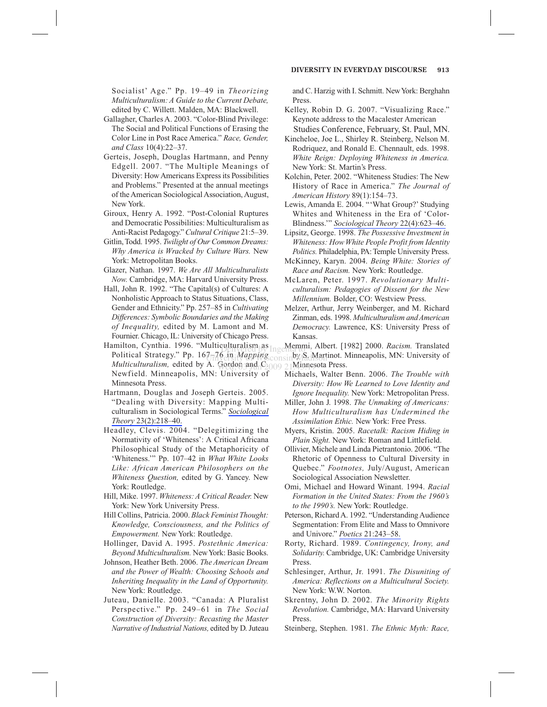Socialist' Age." Pp. 19–49 in *Theorizing Multiculturalism: A Guide to the Current Debate,* edited by C. Willett. Malden, MA: Blackwell.

- Gallagher, Charles A. 2003. "Color-Blind Privilege: The Social and Political Functions of Erasing the Color Line in Post Race America." *Race, Gender, and Class* 10(4):22–37.
- Gerteis, Joseph, Douglas Hartmann, and Penny Edgell. 2007. "The Multiple Meanings of Diversity: How Americans Express its Possibilities and Problems." Presented at the annual meetings of the American Sociological Association, August, New York.
- Giroux, Henry A. 1992. "Post-Colonial Ruptures and Democratic Possibilities: Multiculturalism as Anti-Racist Pedagogy." *Cultural Critique* 21:5–39.
- Gitlin, Todd. 1995. *Twilight of Our Common Dreams: Why America is Wracked by Culture Wars.* New York: Metropolitan Books.
- Glazer, Nathan. 1997. *We Are All Multiculturalists Now.* Cambridge, MA: Harvard University Press.
- Hall, John R. 1992. "The Capital(s) of Cultures: A Nonholistic Approach to Status Situations, Class, Gender and Ethnicity." Pp. 257–85 in *Cultivating Differences: Symbolic Boundaries and the Making of Inequality,* edited by M. Lamont and M. Fournier. Chicago, IL: University of Chicago Press.
- Hamilton, Cynthia. 1996. "Multiculturalism as Political Strategy." Pp. 167–76 in *Mapping* Delivered by Ingenta to : *Multiculturalism, edited by A. Gordon and C<sub>009</sub> 21Minnes* Newfield. Minneapolis, MN: University of Minnesota Press. University opping consin<sup>by</sup> Padison
- Hartmann, Douglas and Joseph Gerteis. 2005. "Dealing with Diversity: Mapping Multiculturalism in Sociological Terms." *[Sociological](http://www.ingentaconnect.com/content/external-references?article=0735-2751()23:2L.218%5Baid=8045384%5D) Theory* [23\(2\):218–40.](http://www.ingentaconnect.com/content/external-references?article=0735-2751()23:2L.218%5Baid=8045384%5D)
- Headley, Clevis. 2004. "Delegitimizing the Normativity of 'Whiteness': A Critical Africana Philosophical Study of the Metaphoricity of 'Whiteness.'" Pp. 107–42 in *What White Looks Like: African American Philosophers on the Whiteness Question,* edited by G. Yancey. New York: Routledge.
- Hill, Mike. 1997. *Whiteness: A Critical Reader.* New York: New York University Press.
- Hill Collins, Patricia. 2000. *Black Feminist Thought: Knowledge, Consciousness, and the Politics of Empowerment.* New York: Routledge.
- Hollinger, David A. 1995. *Postethnic America: Beyond Multiculturalism.* New York: Basic Books.
- Johnson, Heather Beth. 2006. *The American Dream and the Power of Wealth: Choosing Schools and Inheriting Inequality in the Land of Opportunity.* New York: Routledge.
- Juteau, Danielle. 2003. "Canada: A Pluralist Perspective." Pp. 249–61 in *The Social Construction of Diversity: Recasting the Master Narrative of Industrial Nations,* edited by D. Juteau

and C. Harzig with I. Schmitt. New York: Berghahn Press.

- Kelley, Robin D. G. 2007. "Visualizing Race." Keynote address to the Macalester American Studies Conference, February, St. Paul, MN.
- Kincheloe, Joe L., Shirley R. Steinberg, Nelson M. Rodriquez, and Ronald E. Chennault, eds. 1998. *White Reign: Deploying Whiteness in America.* New York: St. Martin's Press.
- Kolchin, Peter. 2002. "Whiteness Studies: The New History of Race in America." *The Journal of American History* 89(1):154–73.
- Lewis, Amanda E. 2004. "'What Group?' Studying Whites and Whiteness in the Era of 'Color-Blindness.'" *[Sociological Theory](http://www.ingentaconnect.com/content/external-references?article=0735-2751()22:4L.623%5Baid=8045383%5D)* 22(4):623–46.
- Lipsitz, George. 1998. *The Possessive Investment in Whiteness: How White People Profit from Identity Politics.* Philadelphia, PA: Temple University Press.
- McKinney, Karyn. 2004. *Being White: Stories of Race and Racism.* New York: Routledge.
- McLaren, Peter. 1997. *Revolutionary Multiculturalism: Pedagogies of Dissent for the New Millennium.* Bolder, CO: Westview Press.
- Melzer, Arthur, Jerry Weinberger, and M. Richard Zinman, eds. 1998. *Multiculturalism and American Democracy.* Lawrence, KS: University Press of Kansas.
- Memmi, Albert. [1982] 2000. *Racism.* Translated by S. Martinot. Minneapolis, MN: University of Minnesota Press.
- Michaels, Walter Benn. 2006. *The Trouble with Diversity: How We Learned to Love Identity and Ignore Inequality.* New York: Metropolitan Press.
- Miller, John J. 1998. *The Unmaking of Americans: How Multiculturalism has Undermined the Assimilation Ethic.* New York: Free Press.
- Myers, Kristin. 2005. *Racetalk: Racism Hiding in Plain Sight.* New York: Roman and Littlefield.
- Ollivier, Michele and Linda Pietrantonio. 2006. "The Rhetoric of Openness to Cultural Diversity in Quebec." *Footnotes,* July/August, American Sociological Association Newsletter.
- Omi, Michael and Howard Winant. 1994. *Racial Formation in the United States: From the 1960's to the 1990's.* New York: Routledge.
- Peterson, Richard A. 1992. "Understanding Audience Segmentation: From Elite and Mass to Omnivore and Univore." *Poetics* [21:243–58.](http://www.ingentaconnect.com/content/external-references?article=0304-422X()21L.243%5Baid=7845840%5D)
- Rorty, Richard. 1989. *Contingency, Irony, and Solidarity.* Cambridge, UK: Cambridge University Press.
- Schlesinger, Arthur, Jr. 1991. *The Disuniting of America: Reflections on a Multicultural Society.* New York: W.W. Norton.
- Skrentny, John D. 2002. *The Minority Rights Revolution.* Cambridge, MA: Harvard University Press.
- Steinberg, Stephen. 1981. *The Ethnic Myth: Race,*